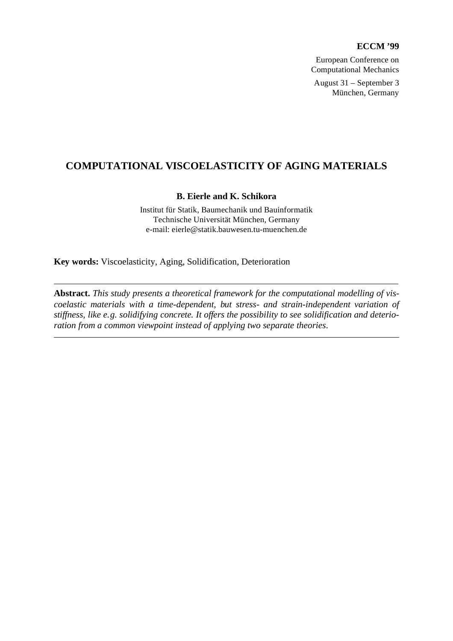### **ECCM '99**

European Conference on Computational Mechanics August 31 – September 3 München, Germany

### **COMPUTATIONAL VISCOELASTICITY OF AGING MATERIALS**

### **B. Eierle and K. Schikora**

Institut für Statik, Baumechanik und Bauinformatik Technische Universität München, Germany e-mail: eierle@statik.bauwesen.tu-muenchen.de

**Key words:** Viscoelasticity, Aging, Solidification, Deterioration

**Abstract.** *This study presents a theoretical framework for the computational modelling of viscoelastic materials with a time-dependent, but stress- and strain-independent variation of stiffness, like e.g. solidifying concrete. It offers the possibility to see solidification and deterioration from a common viewpoint instead of applying two separate theories.*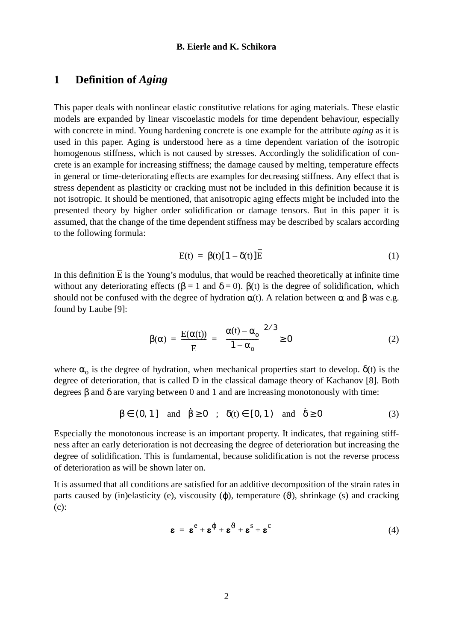### **1 Definition of** *Aging*

This paper deals with nonlinear elastic constitutive relations for aging materials. These elastic models are expanded by linear viscoelastic models for time dependent behaviour, especially with concrete in mind. Young hardening concrete is one example for the attribute *aging* as it is used in this paper. Aging is understood here as a time dependent variation of the isotropic homogenous stiffness, which is not caused by stresses. Accordingly the solidification of concrete is an example for increasing stiffness; the damage caused by melting, temperature effects in general or time-deteriorating effects are examples for decreasing stiffness. Any effect that is stress dependent as plasticity or cracking must not be included in this definition because it is not isotropic. It should be mentioned, that anisotropic aging effects might be included into the presented theory by higher order solidification or damage tensors. But in this paper it is assumed, that the change of the time dependent stiffness may be described by scalars according to the following formula:

$$
E(t) = \beta(t)[1 - \delta(t)]E
$$
 (1)

<span id="page-1-0"></span>In this definition  $\overline{E}$  is the Young's modulus, that would be reached theoretically at infinite time without any deteriorating effects ( $\beta = 1$  and  $\delta = 0$ ).  $\beta(t)$  is the degree of solidification, which should not be confused with the degree of hydration  $\alpha(t)$ . A relation between  $\alpha$  and  $\beta$  was e.g. found by Laube [\[9\]:](#page-14-0)

$$
\beta(\alpha) = \frac{E(\alpha(t))}{\bar{E}} = \left(\frac{\alpha(t) - \alpha_o}{1 - \alpha_o}\right)^{2/3} \ge 0
$$
\n(2)

where  $\alpha_0$  is the degree of hydration, when mechanical properties start to develop.  $\delta(t)$  is the degree of deterioration, that is called D in the classical damage theory of Kachanov [\[8\]](#page-14-1). Both degrees β and δ are varying between 0 and 1 and are increasing monotonously with time:

$$
\beta \in (0, 1] \quad \text{and} \quad \dot{\beta} \ge 0 \quad ; \quad \delta(t) \in [0, 1) \quad \text{and} \quad \dot{\delta} \ge 0 \tag{3}
$$

Especially the monotonous increase is an important property. It indicates, that regaining stiffness after an early deterioration is not decreasing the degree of deterioration but increasing the degree of solidification. This is fundamental, because solidification is not the reverse process of deterioration as will be shown later on.

It is assumed that all conditions are satisfied for an additive decomposition of the strain rates in parts caused by (in)elasticity (e), viscousity  $(\varphi)$ , temperature  $(\vartheta)$ , shrinkage (s) and cracking (c):

$$
\mathbf{g} = \mathbf{g}^e + \mathbf{g}^{\phi} + \mathbf{g}^3 + \mathbf{g}^c
$$
 (4)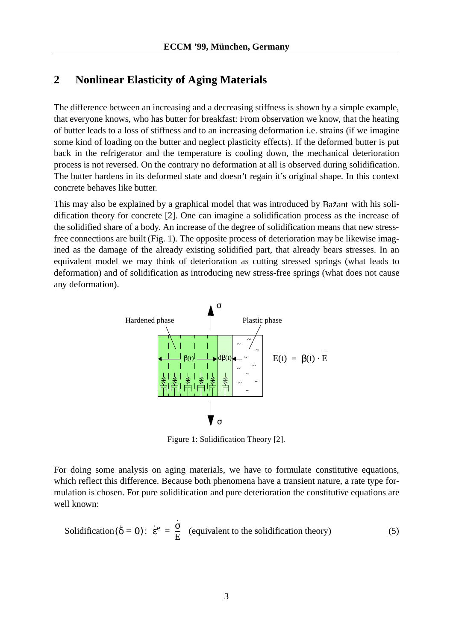# <span id="page-2-1"></span>**2 Nonlinear Elasticity of Aging Materials**

The difference between an increasing and a decreasing stiffness is shown by a simple example, that everyone knows, who has butter for breakfast: From observation we know, that the heating of butter leads to a loss of stiffness and to an increasing deformation i.e. strains (if we imagine some kind of loading on the butter and neglect plasticity effects). If the deformed butter is put back in the refrigerator and the temperature is cooling down, the mechanical deterioration process is not reversed. On the contrary no deformation at all is observed during solidification. The butter hardens in its deformed state and doesn't regain it's original shape. In this context concrete behaves like butter.

This may also be explained by a graphical model that was introduced by Bažant with his solidification theory for concrete [\[2\].](#page-14-2) One can imagine a solidification process as the increase of the solidified share of a body. An increase of the degree of solidification means that new stressfree connections are built (Fig. [1](#page-2-0)). The opposite process of deterioration may be likewise imagined as the damage of the already existing solidified part, that already bears stresses. In an equivalent model we may think of deterioration as cutting stressed springs (what leads to deformation) and of solidification as introducing new stress-free springs (what does not cause any deformation).



Figure 1: Solidification Theory [\[2\].](#page-14-2)

<span id="page-2-0"></span>For doing some analysis on aging materials, we have to formulate constitutive equations, which reflect this difference. Because both phenomena have a transient nature, a rate type formulation is chosen. For pure solidification and pure deterioration the constitutive equations are well known:

**Solidification**(
$$
\hat{\delta} = 0
$$
):  $\dot{\varepsilon}^e = \frac{\dot{\sigma}}{E}$  (equivalent to the solidification theory) (5)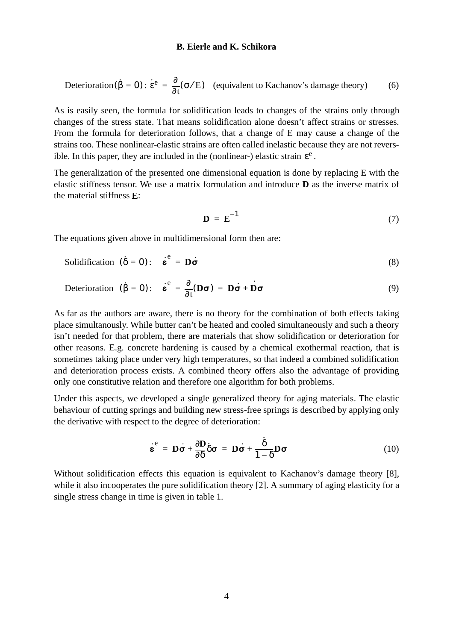$$
\text{Determination}(\hat{\beta} = 0) : \dot{\varepsilon}^e = \frac{\partial}{\partial t}(\sigma/E) \quad \text{(equivalent to Kachanov's damage theory)} \tag{6}
$$

As is easily seen, the formula for solidification leads to changes of the strains only through changes of the stress state. That means solidification alone doesn't affect strains or stresses. From the formula for deterioration follows, that a change of E may cause a change of the strains too. These nonlinear-elastic strains are often called inelastic because they are not reversible. In this paper, they are included in the (nonlinear-) elastic strain  $\varepsilon^e$ .

The generalization of the presented one dimensional equation is done by replacing E with the elastic stiffness tensor. We use a matrix formulation and introduce **D** as the inverse matrix of the material stiffness **E**:

$$
\mathbf{D} = \mathbf{E}^{-1} \tag{7}
$$

The equations given above in multidimensional form then are:

<span id="page-3-0"></span>
$$
\text{Solidification } (\hat{\delta} = 0): \quad \dot{\mathbf{\varepsilon}}^e = \mathbf{D}\dot{\mathbf{\sigma}} \tag{8}
$$

$$
\text{Determination} \quad (\hat{\beta} = 0): \quad \dot{\varepsilon}^e = \frac{\partial}{\partial t}(\mathbf{D}\boldsymbol{\sigma}) = \mathbf{D}\dot{\boldsymbol{\sigma}} + \dot{\mathbf{D}}\boldsymbol{\sigma}
$$
\n(9)

As far as the authors are aware, there is no theory for the combination of both effects taking place simultanously. While butter can't be heated and cooled simultaneously and such a theory isn't needed for that problem, there are materials that show solidification or deterioration for other reasons. E.g. concrete hardening is caused by a chemical exothermal reaction, that is sometimes taking place under very high temperatures, so that indeed a combined solidification and deterioration process exists. A combined theory offers also the advantage of providing only one constitutive relation and therefore one algorithm for both problems.

Under this aspects, we developed a single generalized theory for aging materials. The elastic behaviour of cutting springs and building new stress-free springs is described by applying only the derivative with respect to the degree of deterioration:

$$
\dot{\boldsymbol{\varepsilon}}^{\rm e} = \mathbf{D}\dot{\boldsymbol{\sigma}} + \frac{\partial \mathbf{D}}{\partial \delta} \delta \boldsymbol{\sigma} = \mathbf{D}\dot{\boldsymbol{\sigma}} + \frac{\delta}{1 - \delta} \mathbf{D}\boldsymbol{\sigma}
$$
(10)

Without solidification effects this equation is equivalent to Kachanov's damage theory [\[8\]](#page-14-1), while it also incooperates the pure solidification theory [\[2\]](#page-14-2). A summary of aging elasticity for a single stress change in time is given in [table 1](#page-4-0).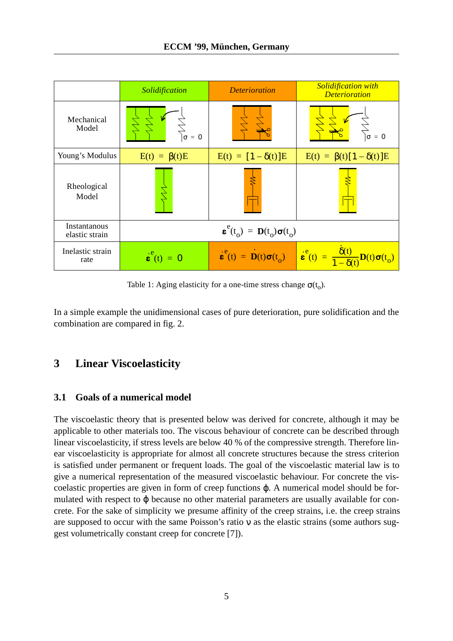

Table 1: Aging elasticity for a one-time stress change  $\sigma(t_0)$ .

<span id="page-4-0"></span>In a simple example the unidimensional cases of pure deterioration, pure solidification and the combination are compared in [fig. 2](#page-5-0).

# **3 Linear Viscoelasticity**

### **3.1 Goals of a numerical model**

The viscoelastic theory that is presented below was derived for concrete, although it may be applicable to other materials too. The viscous behaviour of concrete can be described through linear viscoelasticity, if stress levels are below 40 % of the compressive strength. Therefore linear viscoelasticity is appropriate for almost all concrete structures because the stress criterion is satisfied under permanent or frequent loads. The goal of the viscoelastic material law is to give a numerical representation of the measured viscoelastic behaviour. For concrete the viscoelastic properties are given in form of creep functions ϕ. A numerical model should be formulated with respect to φ because no other material parameters are usually available for concrete. For the sake of simplicity we presume affinity of the creep strains, i.e. the creep strains are supposed to occur with the same Poisson's ratio ν as the elastic strains (some authors suggest volumetrically constant creep for concrete [\[7\]](#page-14-3)).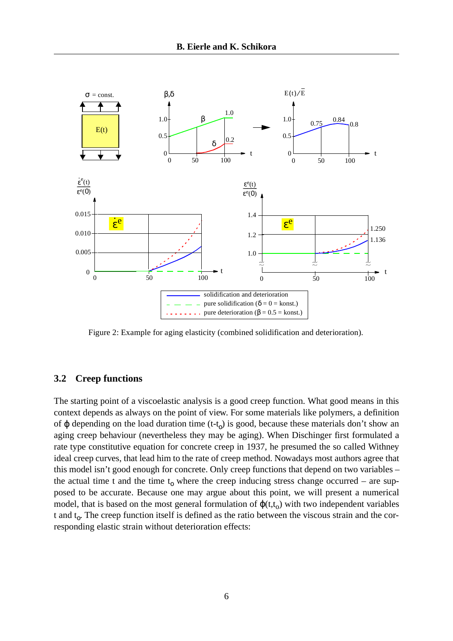

<span id="page-5-0"></span>Figure 2: Example for aging elasticity (combined solidification and deterioration).

#### <span id="page-5-1"></span>**3.2 Creep functions**

The starting point of a viscoelastic analysis is a good creep function. What good means in this context depends as always on the point of view. For some materials like polymers, a definition of  $\varphi$  depending on the load duration time (t-t<sub>o</sub>) is good, because these materials don't show an aging creep behaviour (nevertheless they may be aging). When Dischinger first formulated a rate type constitutive equation for concrete creep in 1937, he presumed the so called Withney ideal creep curves, that lead him to the rate of creep method. Nowadays most authors agree that this model isn't good enough for concrete. Only creep functions that depend on two variables – the actual time t and the time  $t_0$  where the creep inducing stress change occurred – are supposed to be accurate. Because one may argue about this point, we will present a numerical model, that is based on the most general formulation of  $\varphi(t,t_0)$  with two independent variables t and  $t_0$ . The creep function itself is defined as the ratio between the viscous strain and the corresponding elastic strain without deterioration effects: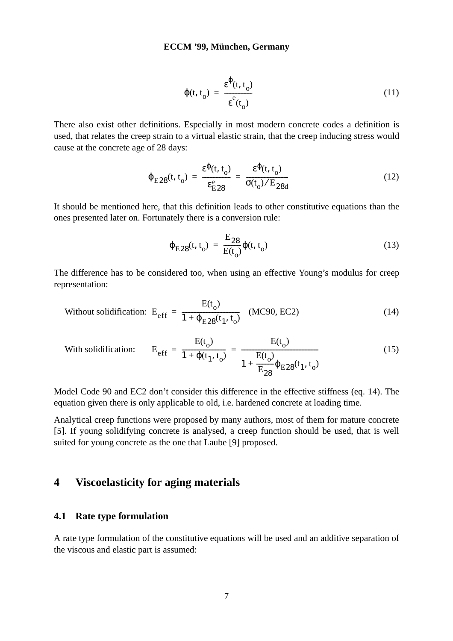$$
\varphi(t, t_o) = \frac{\varepsilon^{\varphi}(t, t_o)}{\varepsilon^{\varphi}(t_o)}
$$
(11)

<span id="page-6-1"></span>There also exist other definitions. Especially in most modern concrete codes a definition is used, that relates the creep strain to a virtual elastic strain, that the creep inducing stress would cause at the concrete age of 28 days:

$$
\varphi_{\rm E28}(t, t_o) = \frac{\varepsilon^{\varphi}(t, t_o)}{\varepsilon_{\rm E28}^{\rm e}} = \frac{\varepsilon^{\varphi}(t, t_o)}{\sigma(t_o)/\mathrm{E}_{28d}}
$$
(12)

It should be mentioned here, that this definition leads to other constitutive equations than the ones presented later on. Fortunately there is a conversion rule:

$$
\varphi_{E28}(t, t_o) = \frac{E_{28}}{E(t_o)} \varphi(t, t_o)
$$
\n(13)

The difference has to be considered too, when using an effective Young's modulus for creep representation:

<span id="page-6-0"></span>Without solidification: 
$$
E_{eff} = \frac{E(t_0)}{1 + \varphi_{E28}(t_1, t_0)}
$$
 (MC90, EC2) (14)

With solidification: 
$$
E_{eff} = \frac{E(t_0)}{1 + \varphi(t_1, t_0)} = \frac{E(t_0)}{1 + \frac{E(t_0)}{E_{28}} \varphi_{E28}(t_1, t_0)}
$$
 (15)

Model Code 90 and EC2 don't consider this difference in the effective stiffness [\(eq. 14](#page-6-0)). The equation given there is only applicable to old, i.e. hardened concrete at loading time.

Analytical creep functions were proposed by many authors, most of them for mature concrete [\[5\].](#page-14-4) If young solidifying concrete is analysed, a creep function should be used, that is well suited for young concrete as the one that Laube [\[9\]](#page-14-0) proposed.

# **4 Viscoelasticity for aging materials**

#### **4.1 Rate type formulation**

A rate type formulation of the constitutive equations will be used and an additive separation of the viscous and elastic part is assumed: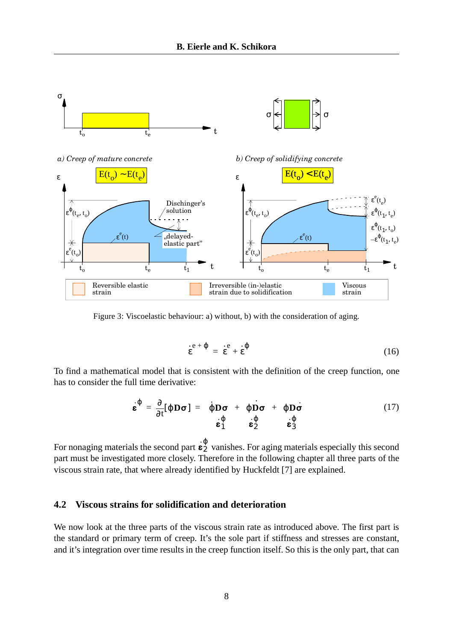

Figure 3: Viscoelastic behaviour: a) without, b) with the consideration of aging.

$$
\mathbf{e}^{\mathbf{e}+\phi} = \mathbf{e}^{\mathbf{e}+\mathbf{e}+\mathbf{e}} \tag{16}
$$

To find a mathematical model that is consistent with the definition of the creep function, one has to consider the full time derivative:

$$
\dot{\boldsymbol{\varepsilon}}^{\varphi} = \frac{\partial}{\partial t} [\varphi \mathbf{D} \boldsymbol{\sigma}] = \underbrace{\dot{\varphi} \mathbf{D} \boldsymbol{\sigma}}_{\dot{\boldsymbol{\varepsilon}}^{\varphi}_{1}} + \underbrace{\varphi \dot{\mathbf{D}} \boldsymbol{\sigma}}_{\dot{\boldsymbol{\varepsilon}}^{\varphi}_{2}} + \underbrace{\varphi \mathbf{D} \dot{\boldsymbol{\sigma}}}_{\dot{\boldsymbol{\varepsilon}}^{\varphi}_{3}} \tag{17}
$$

For nonaging materials the second part  $\dot{\epsilon}_2^{\varphi}$  vanishes. For aging materials especially this second part must be investigated more closely. Therefore in the following chapter all three parts of the viscous strain rate, that where already identified by Huckfeldt [\[7\]](#page-14-3) are explained. 2 ϕ

#### **4.2 Viscous strains for solidification and deterioration**

We now look at the three parts of the viscous strain rate as introduced above. The first part is the standard or primary term of creep. It's the sole part if stiffness and stresses are constant, and it's integration over time results in the creep function itself. So this is the only part, that can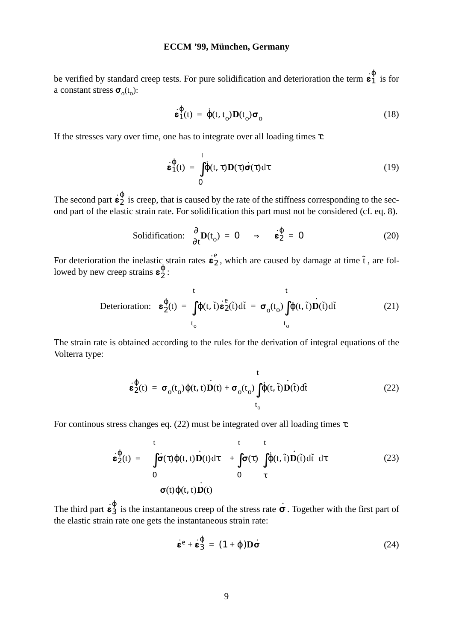be verified by standard creep tests. For pure solidification and deterioration the term  $\dot{\mathbf{\varepsilon}}_1^{\varphi}$  is for a constant stress  $\sigma_0(t_0)$ : 1 ϕ

$$
\dot{\boldsymbol{\varepsilon}}_1^{\phi}(t) = \dot{\phi}(t, t_0) \boldsymbol{D}(t_0) \boldsymbol{\sigma}_0
$$
 (18)

If the stresses vary over time, one has to integrate over all loading times  $\tau$ :

$$
\dot{\boldsymbol{\varepsilon}}_1^{\phi}(t) = \int_0^t \dot{\phi}(t, \tau) \mathbf{D}(\tau) \dot{\boldsymbol{\sigma}}(\tau) d\tau
$$
 (19)

The second part  $\dot{\mathbf{e}}_2^{\varphi}$  is creep, that is caused by the rate of the stiffness corresponding to the second part of the elastic strain rate. For solidification this part must not be considered (cf. [eq. 8](#page-3-0)). 2 ϕ

**Solidification:** 
$$
\frac{\partial}{\partial t} \mathbf{D}(t_0) = \mathbf{0} \Rightarrow \dot{\mathbf{\varepsilon}}_2^{\varphi} = \mathbf{0}
$$
 (20)

For deterioration the inelastic strain rates  $\mathbf{\dot{e}}_2$ , which are caused by damage at time  $\tilde{t}$ , are followed by new creep strains  $\epsilon_2^{\psi}$ : **ε** ·  $_{2}^{\mathrm{e}}$  , which are caused by damage at time  $\mathrm{\tilde{t}}$ **ε**2 ϕ

$$
\text{Determination:} \quad \mathbf{\varepsilon}_{2}^{\phi}(t) \ = \ \int_{t_{0}}^{t} \phi(t, \tilde{t}) \dot{\mathbf{\varepsilon}}_{2}^{\text{e}}(\tilde{t}) d\tilde{t} \ = \ \mathbf{\sigma}_{0}(t_{0}) \int_{t_{0}}^{t} \phi(t, \tilde{t}) \dot{\mathbf{D}}(\tilde{t}) d\tilde{t} \tag{21}
$$

<span id="page-8-0"></span>The strain rate is obtained according to the rules for the derivation of integral equations of the Volterra type:

$$
\mathbf{\dot{\varepsilon}}_{2}^{\phi}(t) = \boldsymbol{\sigma}_{0}(t_{0})\phi(t, t)\dot{\mathbf{D}}(t) + \boldsymbol{\sigma}_{0}(t_{0})\int_{t_{0}}^{t}\dot{\phi}(t, \tilde{t})\dot{\mathbf{D}}(\tilde{t})d\tilde{t}
$$
(22)

<span id="page-8-1"></span>For continous stress changes eq.  $(22)$  must be integrated over all loading times  $\tau$ :

$$
\mathbf{\dot{\varepsilon}}_{2}^{\phi}(t) = \int_{0}^{t} \dot{\sigma}(\tau) \phi(t, t) \dot{\mathbf{D}}(t) d\tau + \int_{0}^{t} \sigma(\tau) \left( \int_{\tau}^{t} \dot{\phi}(t, \tilde{t}) \dot{\mathbf{D}}(\tilde{t}) d\tilde{t} \right) d\tau
$$
\n(23)\n
$$
\sigma(t) \phi(t, t) \dot{\mathbf{D}}(t)
$$

The third part  $\dot{\mathbf{g}}_3^{\varphi}$  is the instantaneous creep of the stress rate  $\dot{\sigma}$ . Together with the first part of the elastic strain rate one gets the instantaneous strain rate:  $\frac{\varphi}{3}$  is the instantaneous creep of the stress rate  $\dot{\sigma}$ 

$$
\dot{\mathbf{\varepsilon}}^{\mathbf{e}} + \dot{\mathbf{\varepsilon}}_3^{\phi} = (1 + \phi) \mathbf{D} \dot{\mathbf{\sigma}} \tag{24}
$$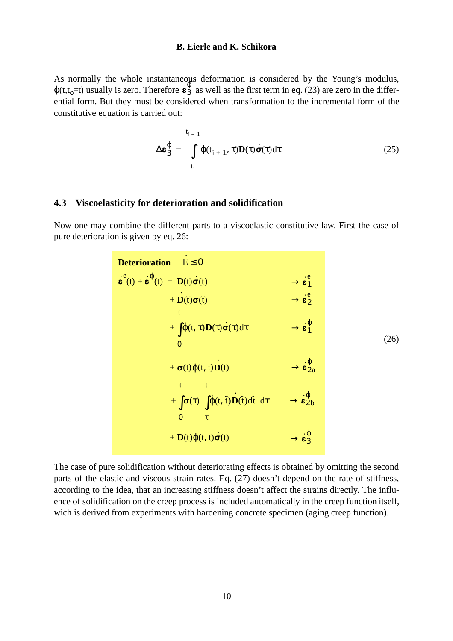As normally the whole instantaneous deformation is considered by the Young's modulus,  $\varphi$ (t,t<sub>o</sub>=t) usually is zero. Therefore  $\epsilon_3^0$  as well as the first term in [eq. \(23\)](#page-8-1) are zero in the differential form. But they must be considered when transformation to the incremental form of the constitutive equation is carried out: 3 ϕ

$$
\Delta \boldsymbol{\varepsilon}_{3}^{\phi} = \int_{t_{i}}^{t_{i+1}} \phi(t_{i+1}, \tau) \mathbf{D}(\tau) \dot{\boldsymbol{\sigma}}(\tau) d\tau
$$
\n(25)

#### <span id="page-9-0"></span>**4.3 Viscoelasticity for deterioration and solidification**

Now one may combine the different parts to a viscoelastic constitutive law. First the case of pure deterioration is given by [eq. 26](#page-9-0):

| $E \le 0$<br><b>Deterioration</b>                                                                                                                                                     |                                                                 |      |
|---------------------------------------------------------------------------------------------------------------------------------------------------------------------------------------|-----------------------------------------------------------------|------|
| $\mathbf{\varepsilon}^{\mathrm{e}}(t) + \mathbf{\varepsilon}^{\mathrm{\varphi}}(t) = \mathbf{D}(t)\dot{\mathbf{\sigma}}(t)$                                                           | $\rightarrow$ $\mathbf{e}_1^{\text{e}}$                         |      |
| + $\mathbf{D}(t)\boldsymbol{\sigma}(t)$                                                                                                                                               | $\rightarrow \stackrel{.e}{\epsilon_2}$                         |      |
| + $\int \dot{\phi}(t,\tau) \mathbf{D}(\tau) \dot{\sigma}(\tau) d\tau$<br>$\Omega$                                                                                                     | $\rightarrow$ $\mathbf{\dot{\epsilon}}_1^0$                     | (26) |
| + $\sigma(t)\varphi(t, t)D(t)$                                                                                                                                                        | $\rightarrow$ $\mathbf{\dot{\epsilon}}_{2a}^{\mathbf{\varphi}}$ |      |
| $+\int_{-\infty}^{t} \sigma(\tau) \left( \int_{0}^{t} \dot{\varphi}(t, \tilde{t}) \mathbf{D}(\tilde{t}) d\tilde{t} \right) d\tau \longrightarrow \mathbf{\varepsilon}_{2b}^{\varphi}$ |                                                                 |      |
| + $\mathbf{D}(t)\varphi(t, t)\dot{\boldsymbol{\sigma}}(t)$                                                                                                                            | $\rightarrow \mathbf{\dot{\varepsilon}}_3^{\varphi}$            |      |

The case of pure solidification without deteriorating effects is obtained by omitting the second parts of the elastic and viscous strain rates. Eq. [\(27\)](#page-10-0) doesn't depend on the rate of stiffness, according to the idea, that an increasing stiffness doesn't affect the strains directly. The influence of solidification on the creep process is included automatically in the creep function itself, wich is derived from experiments with hardening concrete specimen (aging creep function).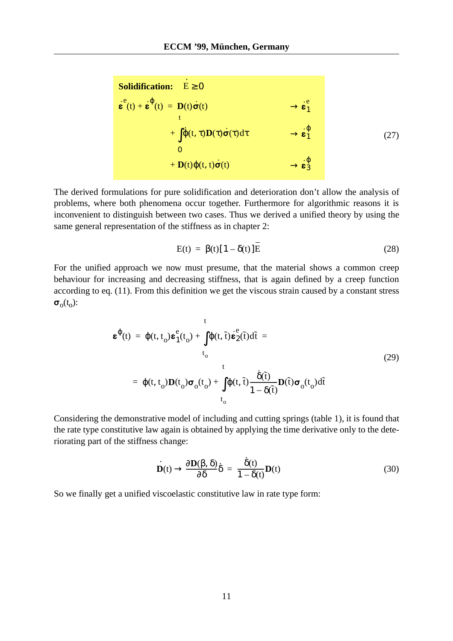<span id="page-10-0"></span>Solidification: 
$$
\dot{E} \ge 0
$$

\n
$$
\dot{\varepsilon}^{e}(t) + \dot{\varepsilon}^{0}(t) = D(t)\dot{\sigma}(t) \rightarrow \dot{\varepsilon}^{e}_{1}
$$
\n
$$
+ \int_{0}^{t} \dot{\phi}(t, \tau)D(\tau)\dot{\sigma}(\tau)d\tau \rightarrow \dot{\varepsilon}^{0}_{1}
$$
\n
$$
+ D(t)\phi(t, t)\dot{\sigma}(t) \rightarrow \dot{\varepsilon}^{0}_{3}
$$
\n
$$
(27)
$$

 $\overline{a}$ 

The derived formulations for pure solidification and deterioration don't allow the analysis of problems, where both phenomena occur together. Furthermore for algorithmic reasons it is inconvenient to distinguish between two cases. Thus we derived a unified theory by using the same general representation of the stiffness as in [chapter 2](#page-2-1):

$$
E(t) = \beta(t)[1 - \delta(t)]E
$$
 (28)

<span id="page-10-1"></span>For the unified approach we now must presume, that the material shows a common creep behaviour for increasing and decreasing stiffness, that is again defined by a creep function according to [eq. \(11\)](#page-6-1). From this definition we get the viscous strain caused by a constant stress  $\sigma_{\alpha}(t_{\alpha})$ :

$$
\mathbf{\varepsilon}^{\phi}(t) = \phi(t, t_o) \mathbf{\varepsilon}_1^e(t_o) + \int_{t_o}^t \phi(t, \tilde{t}) \dot{\mathbf{\varepsilon}}_2^e(\tilde{t}) d\tilde{t} =
$$
  
\n
$$
t_o
$$
\n
$$
= \phi(t, t_o) \mathbf{D}(t_o) \boldsymbol{\sigma}_o(t_o) + \int_{t_o}^t \phi(t, \tilde{t}) \frac{\dot{\delta}(\tilde{t})}{1 - \delta(\tilde{t})} \mathbf{D}(\tilde{t}) \boldsymbol{\sigma}_o(t_o) d\tilde{t}
$$
\n(29)

Considering the demonstrative model of including and cutting springs ([table 1](#page-4-0)), it is found that the rate type constitutive law again is obtained by applying the time derivative only to the deteriorating part of the stiffness change:

$$
\dot{\mathbf{D}}(t) \rightarrow \frac{\partial \mathbf{D}(\beta, \delta)}{\partial \delta} \dot{\delta} = \frac{\dot{\delta}(t)}{1 - \delta(t)} \mathbf{D}(t)
$$
(30)

So we finally get a unified viscoelastic constitutive law in rate type form: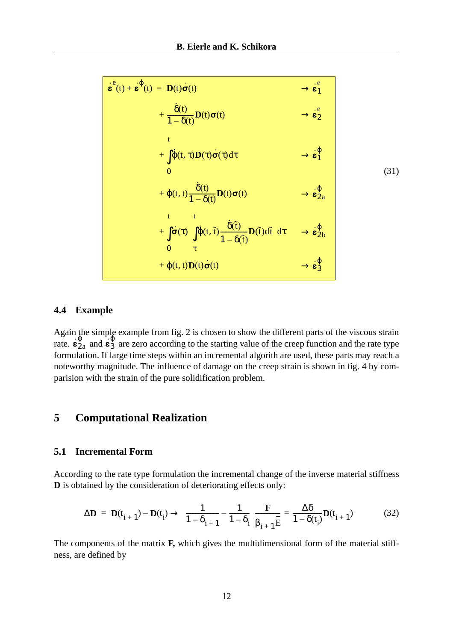$$
\begin{array}{|l|l|l|}\n\hline\n\mathbf{\dot{\varepsilon}}^e(t) + \mathbf{\dot{\varepsilon}}^{\phi}(t) & = \mathbf{D}(t)\dot{\sigma}(t) & \rightarrow \mathbf{\dot{\varepsilon}}^e_1 \\
& + \frac{\dot{\delta}(t)}{1 - \delta(t)}\mathbf{D}(t)\sigma(t) & \rightarrow \mathbf{\dot{\varepsilon}}^e_2 \\
& + \int_{0}^{t}\dot{\phi}(t, \tau)\mathbf{D}(\tau)\dot{\sigma}(\tau)d\tau & \rightarrow \mathbf{\dot{\varepsilon}}^{\phi}_1 \\
& 0 & (31) \\
& + \phi(t, t)\frac{\dot{\delta}(t)}{1 - \delta(t)}\mathbf{D}(t)\sigma(t) & \rightarrow \mathbf{\dot{\varepsilon}}^{\phi}_2 \\
& + \int_{0}^{t} \dot{\sigma}(\tau)\left(\int_{\tau}^{t}\dot{\phi}(t, \tilde{t})\frac{\dot{\delta}(\tilde{t})}{1 - \delta(\tilde{t})}\mathbf{D}(\tilde{t})d\tilde{t}\right)d\tau & \rightarrow \mathbf{\dot{\varepsilon}}^{\phi}_2 \\
& + \phi(t, t)\mathbf{D}(t)\dot{\sigma}(t) & \rightarrow \mathbf{\dot{\varepsilon}}^{\phi}_3\n\end{array}
$$
\n(31)

### **4.4 Example**

Again the simple example from [fig. 2](#page-5-0) is chosen to show the different parts of the viscous strain rate.  $\epsilon_{2a}^{\varphi}$  and  $\epsilon_{3a}^{\varphi}$  are zero according to the starting value of the creep function and the rate type formulation. If large time steps within an incremental algorith are used, these parts may reach a noteworthy magnitude. The influence of damage on the creep strain is shown in [fig. 4](#page-12-0) by comparision with the strain of the pure solidification problem.  $\frac{\varphi}{2a}$  and  $\epsilon$ 3 ϕ

# **5 Computational Realization**

#### **5.1 Incremental Form**

According to the rate type formulation the incremental change of the inverse material stiffness **D** is obtained by the consideration of deteriorating effects only:

$$
\Delta \mathbf{D} = \mathbf{D}(t_{i+1}) - \mathbf{D}(t_i) \rightarrow \left(\frac{1}{1 - \delta_{i+1}} - \frac{1}{1 - \delta_i}\right) \frac{\mathbf{F}}{\beta_{i+1} E} = \frac{\Delta \delta}{1 - \delta(t_i)} \mathbf{D}(t_{i+1})
$$
(32)

The components of the matrix **F,** which gives the multidimensional form of the material stiffness, are defined by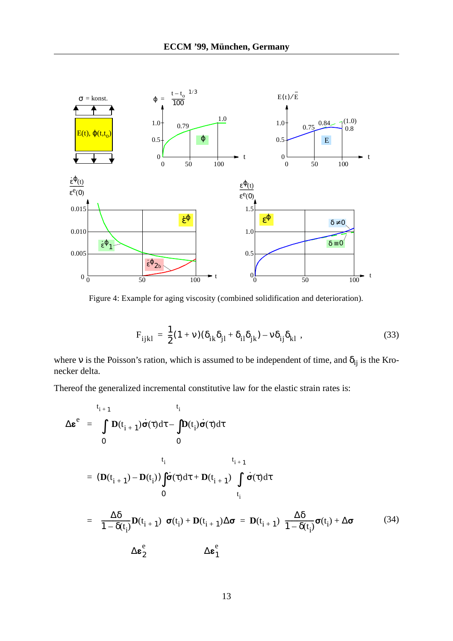

<span id="page-12-0"></span>Figure 4: Example for aging viscosity (combined solidification and deterioration).

$$
F_{ijkl} = \frac{1}{2}(1+v)(\delta_{ik}\delta_{jl} + \delta_{il}\delta_{jk}) - v\delta_{ij}\delta_{kl} ,
$$
 (33)

where v is the Poisson's ration, which is assumed to be independent of time, and  $\delta_{ij}$  is the Kronecker delta.

Thereof the generalized incremental constitutive law for the elastic strain rates is:

$$
\Delta \varepsilon^{e} = \int_{0}^{t_{i+1}} D(t_{i+1}) \dot{\sigma}(\tau) d\tau - \int_{0}^{t_{i}} D(t_{i}) \dot{\sigma}(\tau) d\tau
$$
\n
$$
= (D(t_{i+1}) - D(t_{i})) \int_{0}^{t_{i}} \dot{\sigma}(\tau) d\tau + D(t_{i+1}) \int_{t_{i}}^{t_{i+1}} \dot{\sigma}(\tau) d\tau
$$
\n
$$
= \left( \frac{\Delta \delta}{1 - \delta(t_{i})} D(t_{i+1}) \right) \sigma(t_{i}) + D(t_{i+1}) \Delta \sigma = D(t_{i+1}) \left( \frac{\Delta \delta}{1 - \delta(t_{i})} \sigma(t_{i}) + \Delta \sigma \right) \tag{34}
$$
\n
$$
\Delta \varepsilon_{2}^{e} \qquad \Delta \varepsilon_{1}^{e}
$$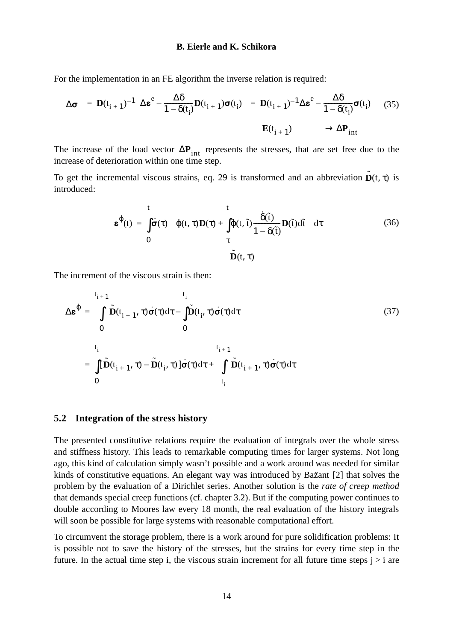For the implementation in an FE algorithm the inverse relation is required:

$$
\Delta \sigma = \mathbf{D}(t_{i+1})^{-1} \left( \Delta \boldsymbol{\varepsilon}^e - \frac{\Delta \delta}{1 - \delta(t_i)} \mathbf{D}(t_{i+1}) \sigma(t_i) \right) = \mathbf{D}(t_{i+1})^{-1} \Delta \boldsymbol{\varepsilon}^e - \frac{\Delta \delta}{1 - \delta(t_i)} \sigma(t_i) \qquad (35)
$$
\n
$$
\mathbf{E}(t_{i+1}) \qquad \longrightarrow \Delta \mathbf{P}_{int}
$$

The increase of the load vector  $\Delta P_{int}$  represents the stresses, that are set free due to the increase of deterioration within one time step.

To get the incremental viscous strains, [eq. 29](#page-10-1) is transformed and an abbreviation  $\tilde{\mathbf{D}}(t, \tau)$  is introduced:

$$
\boldsymbol{\varepsilon}^{\phi}(t) = \int_{0}^{t} \dot{\boldsymbol{\sigma}}(\tau) \left( \phi(t, \tau) \mathbf{D}(\tau) + \int_{\tau}^{t} \phi(t, \tilde{t}) \frac{\dot{\delta}(\tilde{t})}{1 - \delta(\tilde{t})} \mathbf{D}(\tilde{t}) d\tilde{t} \right) d\tau
$$
(36)

The increment of the viscous strain is then:

$$
\Delta \boldsymbol{\varepsilon}^{\phi} = \int_{0}^{t_{i+1}} \tilde{\mathbf{D}}(t_{i+1}, \tau) \dot{\boldsymbol{\sigma}}(\tau) d\tau - \int_{0}^{t_{i}} \tilde{\mathbf{D}}(t_{i}, \tau) \dot{\boldsymbol{\sigma}}(\tau) d\tau
$$
\n(37)\n  
\n
$$
0
$$
\n
$$
\int_{0}^{t_{i}} [\tilde{\mathbf{D}}(t_{i+1}, \tau) - \tilde{\mathbf{D}}(t_{i}, \tau)] \dot{\boldsymbol{\sigma}}(\tau) d\tau + \int_{t_{i}}^{t_{i+1}} \tilde{\mathbf{D}}(t_{i+1}, \tau) \dot{\boldsymbol{\sigma}}(\tau) d\tau
$$

#### **5.2 Integration of the stress history**

The presented constitutive relations require the evaluation of integrals over the whole stress and stiffness history. This leads to remarkable computing times for larger systems. Not long ago, this kind of calculation simply wasn't possible and a work around was needed for similar kinds of constitutive equations. An elegant way was introduced by Bažant [\[2\]](#page-14-2) that solves the problem by the evaluation of a Dirichlet series. Another solution is the *rate of creep method* that demands special creep functions (cf. [chapter 3.2\)](#page-5-1). But if the computing power continues to double according to Moores law every 18 month, the real evaluation of the history integrals will soon be possible for large systems with reasonable computational effort.

To circumvent the storage problem, there is a work around for pure solidification problems: It is possible not to save the history of the stresses, but the strains for every time step in the future. In the actual time step i, the viscous strain increment for all future time steps  $j > i$  are